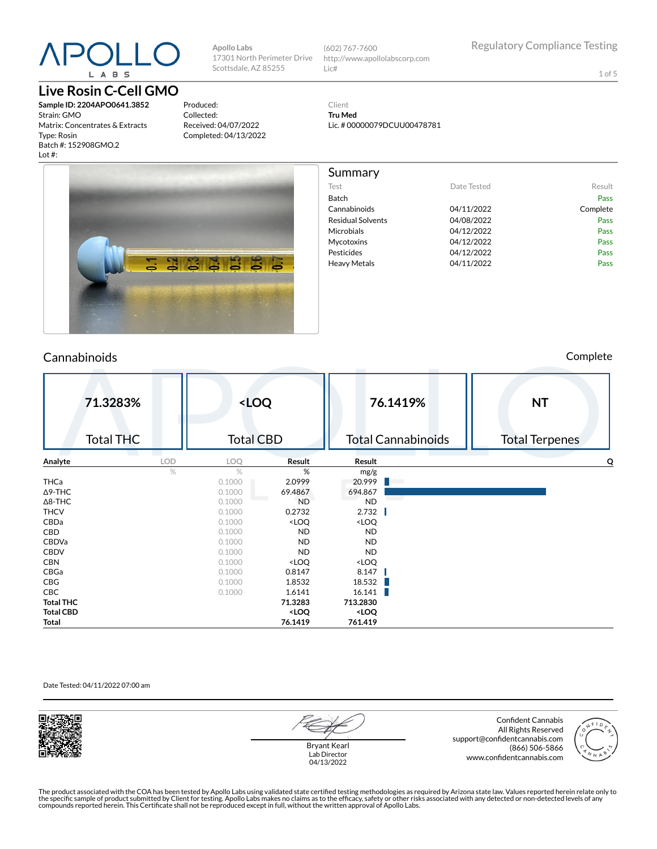## L A B S

#### **Live Rosin C-Cell GMO**

**Sample ID: 2204APO0641.3852** Strain: GMO Matrix: Concentrates & Extracts Type: Rosin Batch #: 152908GMO.2 Lot #:

Produced: Collected: Received: 04/07/2022 Completed: 04/13/2022

**Apollo Labs**

Scottsdale, AZ 85255

17301 North Perimeter Drive (602) 767-7600 http://www.apollolabscorp.com Lic#

Test **Date Tested** Result Batch Pass Cannabinoids 04/11/2022 Complete Residual Solvents **COMPUS** 04/08/2022 Microbials **04/12/2022** Pass Mycotoxins 04/12/2022 Pass Pesticides **DA/12/2022** Pass Heavy Metals **DA/11/2022** Pass

1 of 5

Client **Tru Med** Lic. # 00000079DCUU00478781

Summary



#### Cannabinoids Complete

|                  | 71.3283%<br><b>Total THC</b> |            | <loq<br><b>Total CBD</b></loq<br> |                                                                   |                                       | 76.1419%<br><b>Total Cannabinoids</b> | <b>NT</b><br><b>Total Terpenes</b> |  |
|------------------|------------------------------|------------|-----------------------------------|-------------------------------------------------------------------|---------------------------------------|---------------------------------------|------------------------------------|--|
| Analyte          | a sa B                       | <b>LOD</b> | LOQ                               | Result                                                            | Result                                |                                       | O                                  |  |
|                  |                              | $\%$       | $\frac{1}{2}$                     | %                                                                 | mg/g                                  |                                       |                                    |  |
| THCa             |                              |            | 0.1000                            | 2.0999                                                            | 20.999                                |                                       |                                    |  |
| $\Delta$ 9-THC   |                              |            | 0.1000                            | 69.4867                                                           | 694.867                               |                                       |                                    |  |
| $\Delta$ 8-THC   |                              |            | 0.1000                            | <b>ND</b>                                                         | <b>ND</b>                             |                                       |                                    |  |
| <b>THCV</b>      |                              |            | 0.1000                            | 0.2732                                                            | 2.732                                 |                                       |                                    |  |
| CBDa             |                              |            | 0.1000                            | <loq< th=""><th><loq< th=""><th></th><th></th></loq<></th></loq<> | <loq< th=""><th></th><th></th></loq<> |                                       |                                    |  |
| CBD              |                              |            | 0.1000                            | ND.                                                               | <b>ND</b>                             |                                       |                                    |  |
| CBDVa            |                              |            | 0.1000                            | <b>ND</b>                                                         | <b>ND</b>                             |                                       |                                    |  |
| <b>CBDV</b>      |                              |            | 0.1000                            | <b>ND</b>                                                         | <b>ND</b>                             |                                       |                                    |  |
| <b>CBN</b>       |                              |            | 0.1000                            | <loq< th=""><th><loq< th=""><th></th><th></th></loq<></th></loq<> | <loq< th=""><th></th><th></th></loq<> |                                       |                                    |  |
| CBGa             |                              |            | 0.1000                            | 0.8147                                                            | 8.147                                 |                                       |                                    |  |
| CBG              |                              |            | 0.1000                            | 1.8532                                                            | 18.532                                |                                       |                                    |  |
| CBC              |                              |            | 0.1000                            | 1.6141                                                            | 16.141                                |                                       |                                    |  |
| <b>Total THC</b> |                              |            |                                   | 71.3283                                                           | 713.2830                              |                                       |                                    |  |
| <b>Total CBD</b> |                              |            |                                   | <loq< th=""><th><loq< th=""><th></th><th></th></loq<></th></loq<> | <loq< th=""><th></th><th></th></loq<> |                                       |                                    |  |
| Total            |                              |            |                                   | 76.1419                                                           | 761.419                               |                                       |                                    |  |

#### Date Tested: 04/11/2022 07:00 am



Bryant Kearl Lab Director 04/13/2022

Confident Cannabis All Rights Reserved support@confidentcannabis.com (866) 506-5866 www.confidentcannabis.com



The product associated with the COA has been tested by Apollo Labs using validated state certified testing methodologies as required by Arizona state law. Values reported herein relate only to<br>the specific sample of produc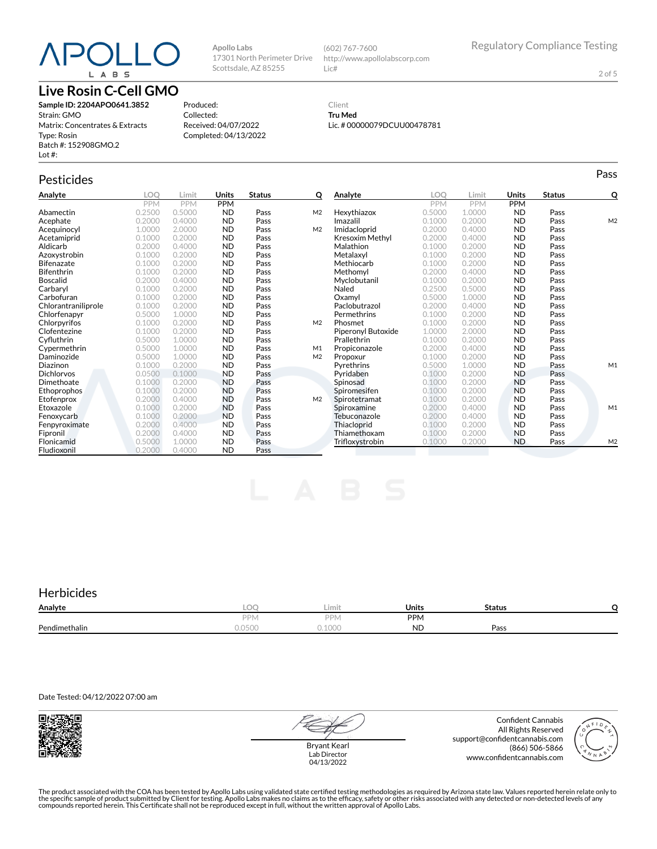### $P()$ L A B S

#### **Live Rosin C-Cell GMO**

**Sample ID: 2204APO0641.3852** Strain: GMO Matrix: Concentrates & Extracts Type: Rosin Batch #: 152908GMO.2 Lot #:

Produced: Collected: Received: 04/07/2022 Completed: 04/13/2022

**Apollo Labs**

17301 North Perimeter Drive Scottsdale, AZ 85255

#### Client **Tru Med** Lic. # 00000079DCUU00478781

http://www.apollolabscorp.com

(602) 767-7600

Lic#

| $P^{\text{u}}(x) = x^2 + 2x + 3$<br>Lot $#$ : |      |
|-----------------------------------------------|------|
| Pesticides<br>$\tilde{}$                      | 'ass |

**Analyte LOQ Limit Units Status Q** PPM PPM PPM<br>0.2500 0.5000 ND Abamectin 0.2500 0.5000 ND Pass M2 **Acephate** 0.2000 0.4000 **ND Pass**<br> **Acequinocyl** 1.0000 2.0000 **ND Pass Acequinocyl** 1.0000 2.0000 **ND Pass M2**<br> **Acetamiprid** 0.1000 0.2000 **ND Pass Acetamiprid** 0.1000 0.2000 **ND Pass**<br>**Aldicarb** 0.2000 0.4000 **ND Pass Aldicarb 0.2000 0.4000 ND**<br> **Azoxystrobin** 0.1000 0.2000 ND **Azoxystrobin** 0.1000 0.2000 **ND Pass**<br>**Bifenazate** 0.1000 0.2000 **ND Pass** Bifenazate 0.1000 0.2000 ND Pass **Bifenthrin 1988** 0.1000 0.2000 **ND Pass**<br> **Boscalid** 10.2000 0.4000 **ND Pass Boscalid** 0.2000 0.4000 **ND Pass**<br> **Carbaryl** 0.1000 0.2000 **ND Pass** Carbaryl 0.1000 0.2000 ND Pass Carbofuran 0.1000 0.2000 ND Pass Chlorantraniliprole 0.1000 0.2000 ND<br>Chlorfenapyr 0.5000 1.0000 ND **Chlorfenapyr** 0.5000 1.0000 **ND Pass**<br> **Chlorpyrifos** 0.1000 0.2000 **ND Pass Chlorpyrifos** 0.1000 0.2000 **ND Pass M2**<br> **Clofentezine** 0.1000 0.2000 **ND Pass Clofentezine** 0.1000 0.2000 **ND Pass**<br> **Cyfluthrin** 0.5000 1.0000 **ND Pass** Cyuthrin 0.5000 1.0000 ND Pass Cypermethrin 0.5000 1.0000 ND Pass M1 **Daminozide** 0.5000 1.0000 **ND Pass<br>
Diazinon** 0.1000 0.2000 **ND Pass Diazinon** 0.1000 0.2000 **ND Pass**<br>**Dichlorvos** 0.0500 0.1000 **ND Pass Dichlorvos** 0.0500 0.1000 **ND Pass**<br>**Dimethoate** 0.1000 0.2000 **ND Pass Dimethoate** 0.1000 0.2000 **ND**<br> **Ethoprophos** 0.1000 0.2000 **ND** Ethoprophos 0.1000 0.2000 ND Pass<br>Etofenprox 0.2000 0.4000 ND Pass Etofenprox 0.2000 0.4000 ND Pass M2<br>
Etoxazole 0.1000 0.2000 ND Pass M2 Etoxazole 0.1000 0.2000 ND Pass **Fenoxycarb** 0.1000 0.2000 **ND Pass**<br> **Fenpyroximate** 0.2000 0.4000 **ND Pass** Fenpyroximate 0.2000 0.4000 ND Pass<br>Fipronil 0.2000 0.4000 ND Pass **Fipronil 12000 0.2000 0.4000 ND Pass<br>Flonicamid 1.0000 0.5000 0.5000 ND Pass Flonicamid** 0.5000 1.000<br> **Fludioxonil** 0.2000 0.400 Fludioxonil 0.2000 0.4000 ND Pass **Analyte LOQ Limit Units Status Q** PPM PPM PPM<br>0.5000 1.0000 ND **Hexythiazox** 0.5000 1.0000 **ND Pass**<br> **Imazalil** 0.1000 0.2000 **ND Pass Imazalil 11 0.1000 0.2000 ND Pass 11 M2 Imidacloprid** 0.2000 0.4000 **ND Pass**<br> **Kresoxim Methyl** 0.2000 0.4000 **ND Pass Kresoxim Methyl** 0.2000 0.4000 **ND Pass**<br> **Malathion** 0.1000 0.2000 **ND Pass** Malathion 0.1000 0.2000 ND Pass **Metalaxyl** 0.1000 0.2000 **ND Pass**<br> **Methiocarb** 0.1000 0.2000 **ND Pass Methiocarb** 0.1000 0.2000 **ND Pass**<br> **Methomyl** 0.2000 0.4000 **ND Pass** Methomyl 0.2000 0.4000 ND Pass Myclobutanil 0.1000 0.2000 ND Pass 0.2500 0.5000 **ND Pass**<br>0.5000 1.0000 **ND Pass** Oxamyl 0.5000 1.0000 ND Pass Paclobutrazol 0.2000 0.4000 ND Pass **Permethrins** 0.1000 0.2000 **ND Pass**<br> **Phosmet** 0.1000 0.2000 **ND Pass Phosmet** 0.1000 0.2000 **ND**<br> **Piperonyl Butoxide** 1.0000 2.0000 **ND** Piperonyl Butoxide 1.0000 2.0000 ND Pass<br>
Prallethrin 0.1000 0.2000 ND Pass Prallethrin 0.1000 0.2000 ND Pass **Propiconazole** 0.2000 0.4000 **ND Pass**<br> **Propoxur** 0.1000 0.2000 **ND Pass** Propoxur 0.1000 0.2000 ND Pass Pyrethrins 0.5000 1.0000 ND Pass M1 **Pyridaben 1988** 0.1000 0.2000 **ND Pass**<br>**Spinosad** 10.1000 0.2000 **ND Pass** Spinosad 0.1000 0.2000 ND Pass Spiromesifen 0.1000 0.2000 ND Pass<br>Spirotetramat 0.1000 0.2000 ND Pass Spirotetramat 0.1000 0.2000 ND Pass<br>Spiroxamine 0.2000 0.4000 ND Pass Spiroxamine 0.2000 0.4000 ND Pass M1<br>Tebuconazole 0.2000 0.4000 ND Pass Tebuconazole 0.2000 0.4000 ND Pass<br>Thiacloprid 0.1000 0.2000 ND Pass **Thiacloprid** 0.1000 0.2000 **ND Pass**<br> **Thiamethoxam** 0.1000 0.2000 **ND Pass** Thiamethoxam 0.1000 0.2000 ND Pass<br>Trifloxystrobin 0.1000 0.2000 ND Pass Trioxystrobin 0.1000 0.2000 ND Pass M2

#### **Herbicides**

| Analyte       | $\sim$<br>- LUT     | Limit                        | Units               | <b>Status</b> |  |
|---------------|---------------------|------------------------------|---------------------|---------------|--|
|               | <b>DDN</b><br>- 1 V | DDN.                         | <b>PPM</b>          |               |  |
| Pendimethalin | 1 0 5 1<br>u.ujuu   | $A \cap \bigcap$<br>- ソ・エリリレ | <b>N.II</b><br>∕∟۱۷ | Pass          |  |

Date Tested: 04/12/2022 07:00 am



Bryant Kearl Lab Director 04/13/2022

Confident Cannabis All Rights Reserved support@confidentcannabis.com (866) 506-5866 www.confidentcannabis.com



The product associated with the COA has been tested by Apollo Labs using validated state certified testing methodologies as required by Arizona state law. Values reported herein relate only to<br>the specific sample of produc

2 of 5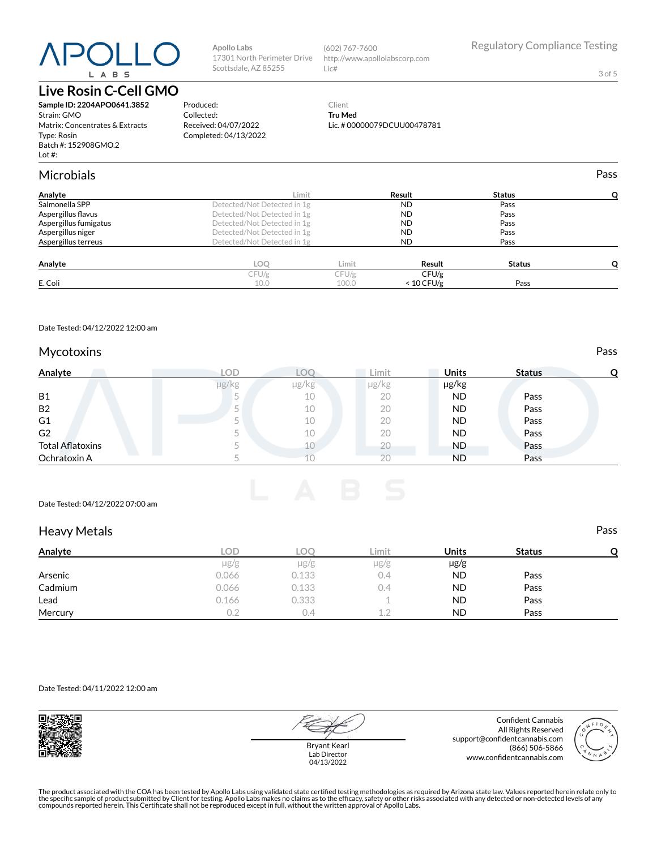# L A B S

#### **Live Rosin C-Cell GMO**

**Sample ID: 2204APO0641.3852** Strain: GMO Matrix: Concentrates & Extracts Type: Rosin Batch #: 152908GMO.2 Lot #:

### 17301 North Perimeter Drive Scottsdale, AZ 85255

**Apollo Labs**

Produced: Collected:

Received: 04/07/2022 Completed: 04/13/2022

(602) 767-7600 http://www.apollolabscorp.com Lic#

3 of 5

#### Client **Tru Med** Lic. # 00000079DCUU00478781

| <b>Microbials</b>     |                             |       |              |               | Pass |
|-----------------------|-----------------------------|-------|--------------|---------------|------|
| Analyte               | Limit                       |       | Result       | <b>Status</b> |      |
| Salmonella SPP        | Detected/Not Detected in 1g |       | <b>ND</b>    | Pass          |      |
| Aspergillus flavus    | Detected/Not Detected in 1g |       | <b>ND</b>    | Pass          |      |
| Aspergillus fumigatus | Detected/Not Detected in 1g |       | <b>ND</b>    | Pass          |      |
| Aspergillus niger     | Detected/Not Detected in 1g |       | <b>ND</b>    | Pass          |      |
| Aspergillus terreus   | Detected/Not Detected in 1g |       | <b>ND</b>    | Pass          |      |
| Analyte               | <b>LOO</b>                  | Limit | Result       | <b>Status</b> |      |
|                       | CFU/g                       | CFU/g | CFU/g        |               |      |
| E. Coli               | 10.0                        | 100.0 | $< 10$ CFU/g | Pass          |      |

Date Tested: 04/12/2022 12:00 am

#### Mycotoxins **Pass**

| Analyte                 | LOD   |       | Limit | <b>Units</b> | <b>Status</b> |  |
|-------------------------|-------|-------|-------|--------------|---------------|--|
|                         | µg/kg | µg/kg | µg/kg | µg/kg        |               |  |
| <b>B1</b>               |       | 10    | 20    | ND           | Pass          |  |
| <b>B2</b>               |       | 10    | 20    | ND           | Pass          |  |
| G1                      |       | 10    | 20    | ND.          | Pass          |  |
| G <sub>2</sub>          |       | 10    | 20    | ND.          | Pass          |  |
| <b>Total Aflatoxins</b> |       |       | 20    | ND.          | Pass          |  |
| Ochratoxin A            |       |       | 20    | ND           | Pass          |  |

Date Tested: 04/12/2022 07:00 am

#### Heavy Metals **Pass**

| Analyte | LOD       | LOC   | Limit           | <b>Units</b> | <b>Status</b> |  |
|---------|-----------|-------|-----------------|--------------|---------------|--|
|         | $\mu$ g/g | µg/g  | $\mu$ g/g       | $\mu$ g/g    |               |  |
| Arsenic | 0.066     | 0.133 | 0.4             | <b>ND</b>    | Pass          |  |
| Cadmium | 0.066     | 0.133 | 0.4             | <b>ND</b>    | Pass          |  |
| Lead    | 0.166     | 0.333 |                 | <b>ND</b>    | Pass          |  |
| Mercury | 0.2       | 0.4   | 12<br>also disc | ND           | Pass          |  |

Date Tested: 04/11/2022 12:00 am



Bryant Kearl Lab Director 04/13/2022

Confident Cannabis All Rights Reserved support@confidentcannabis.com (866) 506-5866 www.confidentcannabis.com



The product associated with the COA has been tested by Apollo Labs using validated state certified testing methodologies as required by Arizona state law. Values reported herein relate only to<br>the specific sample of produc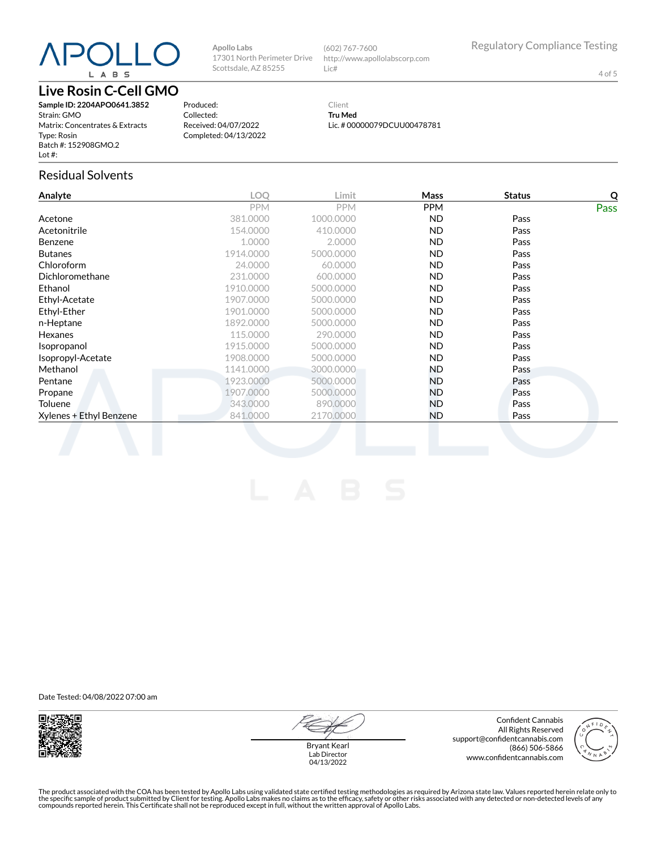# L A B S

#### **Live Rosin C-Cell GMO**

**Sample ID: 2204APO0641.3852** Strain: GMO Matrix: Concentrates & Extracts Type: Rosin Batch #: 152908GMO.2 Lot #:

Produced: Collected:

Client **Tru Med** Lic. # 00000079DCUU00478781

http://www.apollolabscorp.com

(602) 767-7600

Lic#

#### Received: 04/07/2022 Completed: 04/13/2022

**Apollo Labs**

17301 North Perimeter Drive Scottsdale, AZ 85255

#### Residual Solvents

| Analyte                 | LOQ        | Limit      | Mass       | <b>Status</b> | $\overline{Q}$ |
|-------------------------|------------|------------|------------|---------------|----------------|
|                         | <b>PPM</b> | <b>PPM</b> | <b>PPM</b> |               | Pass           |
| Acetone                 | 381.0000   | 1000.0000  | ND.        | Pass          |                |
| Acetonitrile            | 154.0000   | 410.0000   | ND.        | Pass          |                |
| Benzene                 | 1.0000     | 2.0000     | ND.        | Pass          |                |
| Butanes                 | 1914.0000  | 5000.0000  | ND.        | Pass          |                |
| Chloroform              | 24.0000    | 60.0000    | ND.        | Pass          |                |
| Dichloromethane         | 231.0000   | 600.0000   | <b>ND</b>  | Pass          |                |
| Ethanol                 | 1910.0000  | 5000.0000  | ND.        | Pass          |                |
| Ethyl-Acetate           | 1907.0000  | 5000.0000  | ND.        | Pass          |                |
| Ethyl-Ether             | 1901.0000  | 5000.0000  | <b>ND</b>  | Pass          |                |
| n-Heptane               | 1892.0000  | 5000.0000  | ND.        | Pass          |                |
| Hexanes                 | 115,0000   | 290.0000   | ND.        | Pass          |                |
| Isopropanol             | 1915.0000  | 5000.0000  | ND.        | Pass          |                |
| Isopropyl-Acetate       | 1908.0000  | 5000.0000  | ND.        | Pass          |                |
| Methanol                | 1141.0000  | 3000.0000  | ND.        | Pass          |                |
| Pentane                 | 1923.0000  | 5000.0000  | ND.        | Pass          |                |
| Propane                 | 1907.0000  | 5000.0000  | ND.        | Pass          |                |
| Toluene                 | 343,0000   | 890,0000   | ND.        | Pass          |                |
| Xylenes + Ethyl Benzene | 841,0000   | 2170,0000  | ND.        | Pass          |                |
|                         |            |            |            |               |                |

Date Tested: 04/08/2022 07:00 am



Bryant Kearl Lab Director 04/13/2022

Confident Cannabis All Rights Reserved support@confidentcannabis.com (866) 506-5866 www.confidentcannabis.com



The product associated with the COA has been tested by Apollo Labs using validated state certified testing methodologies as required by Arizona state law. Values reported herein relate only to<br>the specific sample of produc

4 of 5